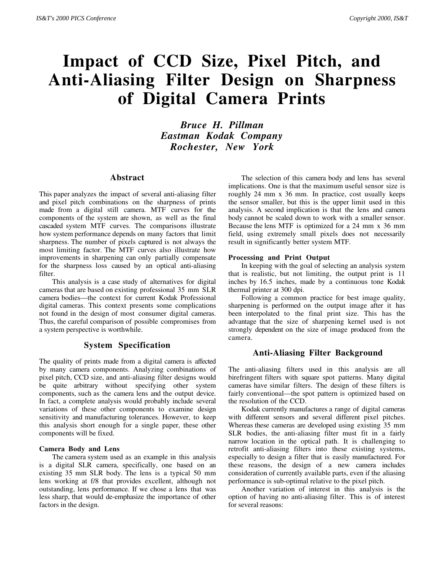# **Impact of CCD Size, Pixel Pitch, and Anti-Aliasing Filter Design on Sharpness of Digital Camera Prints**

*Bruce H. Pillman Eastman Kodak Company Rochester, New York*

# **Abstract**

This paper analyzes the impact of several anti-aliasing filter and pixel pitch combinations on the sharpness of prints made from a digital still camera. MTF curves for the components of the system are shown, as well as the final cascaded system MTF curves. The comparisons illustrate how system performance depends on many factors that limit sharpness. The number of pixels captured is not always the most limiting factor. The MTF curves also illustrate how improvements in sharpening can only partially compensate for the sharpness loss caused by an optical anti-aliasing filter.

This analysis is a case study of alternatives for digital cameras that are based on existing professional 35 mm SLR camera bodies—the context for current Kodak Professional digital cameras. This context presents some complications not found in the design of most consumer digital cameras. Thus, the careful comparison of possible compromises from a system perspective is worthwhile.

# **System Specification**

The quality of prints made from a digital camera is affected by many camera components. Analyzing combinations of pixel pitch, CCD size, and anti-aliasing filter designs would be quite arbitrary without specifying other system components, such as the camera lens and the output device. In fact, a complete analysis would probably include several variations of these other components to examine design sensitivity and manufacturing tolerances. However, to keep this analysis short enough for a single paper, these other components will be fixed.

### **Camera Body and Lens**

The camera system used as an example in this analysis is a digital SLR camera, specifically, one based on an existing 35 mm SLR body. The lens is a typical 50 mm lens working at f/8 that provides excellent, although not outstanding, lens performance. If we chose a lens that was less sharp, that would de-emphasize the importance of other factors in the design.

The selection of this camera body and lens has several implications. One is that the maximum useful sensor size is roughly 24 mm x 36 mm. In practice, cost usually keeps the sensor smaller, but this is the upper limit used in this analysis. A second implication is that the lens and camera body cannot be scaled down to work with a smaller sensor. Because the lens MTF is optimized for a 24 mm x 36 mm field, using extremely small pixels does not necessarily result in significantly better system MTF.

#### **Processing and Print Output**

In keeping with the goal of selecting an analysis system that is realistic, but not limiting, the output print is 11 inches by 16.5 inches, made by a continuous tone Kodak thermal printer at 300 dpi.

Following a common practice for best image quality, sharpening is performed on the output image after it has been interpolated to the final print size. This has the advantage that the size of sharpening kernel used is not strongly dependent on the size of image produced from the camera.

# **Anti-Aliasing Filter Background**

The anti-aliasing filters used in this analysis are all birefringent filters with square spot patterns. Many digital cameras have similar filters. The design of these filters is fairly conventional—the spot pattern is optimized based on the resolution of the CCD.

Kodak currently manufactures a range of digital cameras with different sensors and several different pixel pitches. Whereas these cameras are developed using existing 35 mm SLR bodies, the anti-aliasing filter must fit in a fairly narrow location in the optical path. It is challenging to retrofit anti-aliasing filters into these existing systems, especially to design a filter that is easily manufactured. For these reasons, the design of a new camera includes consideration of currently available parts, even if the aliasing performance is sub-optimal relative to the pixel pitch.

Another variation of interest in this analysis is the option of having no anti-aliasing filter. This is of interest for several reasons: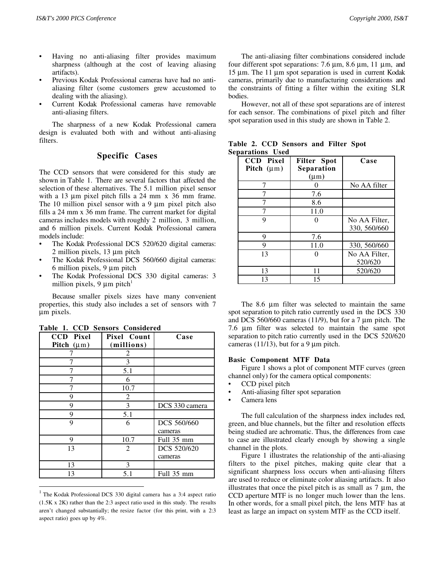- Having no anti-aliasing filter provides maximum sharpness (although at the cost of leaving aliasing artifacts).
- Previous Kodak Professional cameras have had no antialiasing filter (some customers grew accustomed to dealing with the aliasing).
- Current Kodak Professional cameras have removable anti-aliasing filters.

The sharpness of a new Kodak Professional camera design is evaluated both with and without anti-aliasing filters.

# **Specific Cases**

The CCD sensors that were considered for this study are shown in Table 1. There are several factors that affected the selection of these alternatives. The 5.1 million pixel sensor with a 13  $\mu$ m pixel pitch fills a 24 mm x 36 mm frame. The 10 million pixel sensor with a 9  $\mu$ m pixel pitch also fills a 24 mm x 36 mm frame. The current market for digital cameras includes models with roughly 2 million, 3 million, and 6 million pixels. Current Kodak Professional camera models include:

- The Kodak Professional DCS 520/620 digital cameras: 2 million pixels, 13 µm pitch
- The Kodak Professional DCS 560/660 digital cameras: 6 million pixels, 9 µm pitch
- The Kodak Professional DCS 330 digital cameras: 3 million pixels,  $9 \mu m$  pitch<sup>1</sup>

Because smaller pixels sizes have many convenient properties, this study also includes a set of sensors with 7 µm pixels.

| <b>CCD</b> Pixel | Pixel Count | Case           |  |  |
|------------------|-------------|----------------|--|--|
| Pitch $(\mu m)$  | (millions)  |                |  |  |
|                  | 2           |                |  |  |
|                  | 3           |                |  |  |
|                  | 5.1         |                |  |  |
|                  | 6           |                |  |  |
|                  | 10.7        |                |  |  |
| 9                | 2           |                |  |  |
| 9                | 3           | DCS 330 camera |  |  |
| 9                | 5.1         |                |  |  |
| 9                | 6           | DCS 560/660    |  |  |
|                  |             | cameras        |  |  |
| 9                | 10.7        | Full 35 mm     |  |  |
| 13               | 2           | DCS 520/620    |  |  |
|                  |             | cameras        |  |  |
| 13               | 3           |                |  |  |
| 13               | 5.1         | Full 35 mm     |  |  |

**Table 1. CCD Sensors Considered**

 $\overline{a}$ 

The anti-aliasing filter combinations considered include four different spot separations: 7.6  $\mu$ m, 8.6  $\mu$ m, 11  $\mu$ m, and 15 µm. The 11 µm spot separation is used in current Kodak cameras, primarily due to manufacturing considerations and the constraints of fitting a filter within the exiting SLR bodies.

However, not all of these spot separations are of interest for each sensor. The combinations of pixel pitch and filter spot separation used in this study are shown in Table 2.

| <b>CCD</b> Pixel<br>Pitch $(\mu m)$ | <b>Filter</b> Spot<br>Separation<br>$(\mu m)$ | Case                          |
|-------------------------------------|-----------------------------------------------|-------------------------------|
| 7                                   |                                               | No AA filter                  |
|                                     | 7.6                                           |                               |
|                                     | 8.6                                           |                               |
|                                     | 11.0                                          |                               |
| 9                                   |                                               | No AA Filter,<br>330, 560/660 |
| 9                                   | 7.6                                           |                               |
| 9                                   | 11.0                                          | 330, 560/660                  |
| 13                                  |                                               | No AA Filter,<br>520/620      |
| 13                                  | 11                                            | 520/620                       |
| 13                                  | 15                                            |                               |

|                         |  |  |  | Table 2. CCD Sensors and Filter Spot |
|-------------------------|--|--|--|--------------------------------------|
| <b>Separations Used</b> |  |  |  |                                      |
|                         |  |  |  |                                      |

The 8.6  $\mu$ m filter was selected to maintain the same spot separation to pitch ratio currently used in the DCS 330 and DCS 560/660 cameras (11/9), but for a 7 µm pitch. The 7.6 µm filter was selected to maintain the same spot separation to pitch ratio currently used in the DCS 520/620 cameras (11/13), but for a 9  $\mu$ m pitch.

#### **Basic Component MTF Data**

Figure 1 shows a plot of component MTF curves (green channel only) for the camera optical components:

- CCD pixel pitch
- Anti-aliasing filter spot separation
- Camera lens

The full calculation of the sharpness index includes red, green, and blue channels, but the filter and resolution effects being studied are achromatic. Thus, the differences from case to case are illustrated clearly enough by showing a single channel in the plots.

Figure 1 illustrates the relationship of the anti-aliasing filters to the pixel pitches, making quite clear that a significant sharpness loss occurs when anti-aliasing filters are used to reduce or eliminate color aliasing artifacts. It also illustrates that once the pixel pitch is as small as  $7 \mu m$ , the CCD aperture MTF is no longer much lower than the lens. In other words, for a small pixel pitch, the lens MTF has at least as large an impact on system MTF as the CCD itself.

 $1$  The Kodak Professional DCS 330 digital camera has a 3:4 aspect ratio (1.5K x 2K) rather than the 2:3 aspect ratio used in this study. The results aren't changed substantially; the resize factor (for this print, with a 2:3 aspect ratio) goes up by 4%.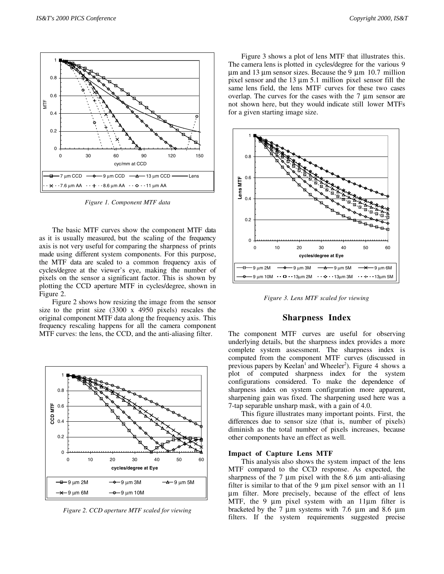

*Figure 1. Component MTF data*

The basic MTF curves show the component MTF data as it is usually measured, but the scaling of the frequency axis is not very useful for comparing the sharpness of prints made using different system components. For this purpose, the MTF data are scaled to a common frequency axis of cycles/degree at the viewer's eye, making the number of pixels on the sensor a significant factor. This is shown by plotting the CCD aperture MTF in cycles/degree, shown in Figure 2.

Figure 2 shows how resizing the image from the sensor size to the print size (3300 x 4950 pixels) rescales the original component MTF data along the frequency axis. This frequency rescaling happens for all the camera component MTF curves: the lens, the CCD, and the anti-aliasing filter.



*Figure 2. CCD aperture MTF scaled for viewing*

Figure 3 shows a plot of lens MTF that illustrates this. The camera lens is plotted in cycles/degree for the various 9  $\mu$ m and 13  $\mu$ m sensor sizes. Because the 9  $\mu$ m 10.7 million pixel sensor and the 13 µm 5.1 million pixel sensor fill the same lens field, the lens MTF curves for these two cases overlap. The curves for the cases with the 7 µm sensor are not shown here, but they would indicate still lower MTFs for a given starting image size.



*Figure 3. Lens MTF scaled for viewing*

#### **Sharpness Index**

The component MTF curves are useful for observing underlying details, but the sharpness index provides a more complete system assessment. The sharpness index is computed from the component MTF curves (discussed in previous papers by Keelan<sup>1</sup> and Wheeler<sup>2</sup>). Figure 4 shows a plot of computed sharpness index for the system configurations considered. To make the dependence of sharpness index on system configuration more apparent, sharpening gain was fixed. The sharpening used here was a 7-tap separable unsharp mask, with a gain of 4.0.

This figure illustrates many important points. First, the differences due to sensor size (that is, number of pixels) diminish as the total number of pixels increases, because other components have an effect as well.

#### **Impact of Capture Lens MTF**

This analysis also shows the system impact of the lens MTF compared to the CCD response. As expected, the sharpness of the  $7 \mu m$  pixel with the  $8.6 \mu m$  anti-aliasing filter is similar to that of the 9 µm pixel sensor with an 11 µm filter. More precisely, because of the effect of lens MTF, the 9  $\mu$ m pixel system with an 11 $\mu$ m filter is bracketed by the 7 µm systems with 7.6 µm and 8.6 µm filters. If the system requirements suggested precise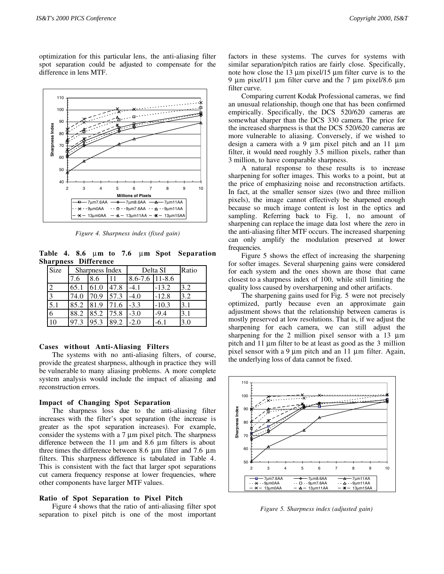optimization for this particular lens, the anti-aliasing filter spot separation could be adjusted to compensate for the difference in lens MTF.



*Figure 4. Sharpness index (fixed gain)*

**Table 4. 8.6** µ**m to 7.6** µ**m Spot Separation Sharpness Difference**

| Size | Sharpness Index |      |             | Delta SI           |         | Ratio |
|------|-----------------|------|-------------|--------------------|---------|-------|
|      | 7.6             | 8.6  | 11          | $8.6 - 7.6$ 11-8.6 |         |       |
|      | 65.1            | 61.0 | 47.8        | $-4.1$             | $-13.2$ | 3.2   |
| 3    | 74.0            | 70.9 | 57.3        | $-4.0$             | $-12.8$ | 3.2   |
| 5.1  | 85.2            | 81.9 | 71.6        | $-3.3$             | $-10.3$ | 3.1   |
|      | 88.2            | 85.2 | <b>75.8</b> | $-3.0$             | $-9.4$  | 3.1   |
| 10   | 97.3            | 95.3 | 89.2        | $-2.0$             | $-6.1$  | 3.0   |

## **Cases without Anti-Aliasing Filters**

The systems with no anti-aliasing filters, of course, provide the greatest sharpness, although in practice they will be vulnerable to many aliasing problems. A more complete system analysis would include the impact of aliasing and reconstruction errors.

## **Impact of Changing Spot Separation**

The sharpness loss due to the anti-aliasing filter increases with the filter's spot separation (the increase is greater as the spot separation increases). For example, consider the systems with a 7 µm pixel pitch. The sharpness difference between the  $11 \mu m$  and  $8.6 \mu m$  filters is about three times the difference between 8.6 µm filter and 7.6 µm filters. This sharpness difference is tabulated in Table 4. This is consistent with the fact that larger spot separations cut camera frequency response at lower frequencies, where other components have larger MTF values.

## **Ratio of Spot Separation to Pixel Pitch**

Figure 4 shows that the ratio of anti-aliasing filter spot separation to pixel pitch is one of the most important factors in these systems. The curves for systems with similar separation/pitch ratios are fairly close. Specifically, note how close the 13  $\mu$ m pixel/15  $\mu$ m filter curve is to the 9  $\mu$ m pixel/11  $\mu$ m filter curve and the 7  $\mu$ m pixel/8.6  $\mu$ m filter curve.

Comparing current Kodak Professional cameras, we find an unusual relationship, though one that has been confirmed empirically. Specifically, the DCS 520/620 cameras are somewhat sharper than the DCS 330 camera. The price for the increased sharpness is that the DCS 520/620 cameras are more vulnerable to aliasing. Conversely, if we wished to design a camera with a 9  $\mu$ m pixel pitch and an 11  $\mu$ m filter, it would need roughly 3.5 million pixels, rather than 3 million, to have comparable sharpness.

A natural response to these results is to increase sharpening for softer images. This works to a point, but at the price of emphasizing noise and reconstruction artifacts. In fact, at the smaller sensor sizes (two and three million pixels), the image cannot effectively be sharpened enough because so much image content is lost in the optics and sampling. Referring back to Fig. 1, no amount of sharpening can replace the image data lost where the zero in the anti-aliasing filter MTF occurs. The increased sharpening can only amplify the modulation preserved at lower frequencies.

Figure 5 shows the effect of increasing the sharpening for softer images. Several sharpening gains were considered for each system and the ones shown are those that came closest to a sharpness index of 100, while still limiting the quality loss caused by oversharpening and other artifacts.

The sharpening gains used for Fig. 5 were not precisely optimized, partly because even an approximate gain adjustment shows that the relationship between cameras is mostly preserved at low resolutions. That is, if we adjust the sharpening for each camera, we can still adjust the sharpening for the 2 million pixel sensor with a 13  $\mu$ m pitch and 11 µm filter to be at least as good as the 3 million pixel sensor with a 9  $\mu$ m pitch and an 11  $\mu$ m filter. Again, the underlying loss of data cannot be fixed.



*Figure 5. Sharpness index (adjusted gain)*